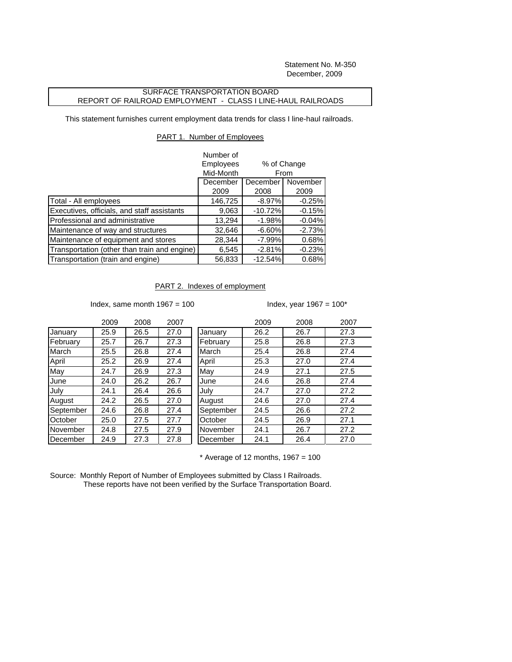Statement No. M-350 December, 2009

## SURFACE TRANSPORTATION BOARD REPORT OF RAILROAD EMPLOYMENT - CLASS I LINE-HAUL RAILROADS

This statement furnishes current employment data trends for class I line-haul railroads.

## PART 1. Number of Employees

|                                              | Number of |                                             |          |
|----------------------------------------------|-----------|---------------------------------------------|----------|
|                                              | Employees | % of Change<br>From<br>December<br>November |          |
|                                              | Mid-Month |                                             |          |
|                                              | December  |                                             |          |
|                                              | 2009      | 2008                                        | 2009     |
| Total - All employees                        | 146,725   | $-8.97\%$                                   | $-0.25%$ |
| Executives, officials, and staff assistants  | 9,063     | $-10.72%$                                   | $-0.15%$ |
| Professional and administrative              | 13,294    | $-1.98%$                                    | $-0.04%$ |
| Maintenance of way and structures            | 32,646    | $-6.60%$                                    | $-2.73%$ |
| Maintenance of equipment and stores          | 28,344    | $-7.99%$                                    | 0.68%    |
| Transportation (other than train and engine) | 6,545     | $-2.81%$                                    | $-0.23%$ |
| Transportation (train and engine)            | 56,833    | $-12.54%$                                   | 0.68%    |

## PART 2. Indexes of employment

Index, same month  $1967 = 100$  Index, year  $1967 = 100$ \*

|           | 2009 | 2008 | 2007 |           | 2009 | 2008 | 2007 |
|-----------|------|------|------|-----------|------|------|------|
| January   | 25.9 | 26.5 | 27.0 | January   | 26.2 | 26.7 | 27.3 |
| February  | 25.7 | 26.7 | 27.3 | February  | 25.8 | 26.8 | 27.3 |
| March     | 25.5 | 26.8 | 27.4 | March     | 25.4 | 26.8 | 27.4 |
| April     | 25.2 | 26.9 | 27.4 | April     | 25.3 | 27.0 | 27.4 |
| May       | 24.7 | 26.9 | 27.3 | May       | 24.9 | 27.1 | 27.5 |
| June      | 24.0 | 26.2 | 26.7 | June      | 24.6 | 26.8 | 27.4 |
| July      | 24.1 | 26.4 | 26.6 | July      | 24.7 | 27.0 | 27.2 |
| August    | 24.2 | 26.5 | 27.0 | August    | 24.6 | 27.0 | 27.4 |
| September | 24.6 | 26.8 | 27.4 | September | 24.5 | 26.6 | 27.2 |
| October   | 25.0 | 27.5 | 27.7 | October   | 24.5 | 26.9 | 27.1 |
| November  | 24.8 | 27.5 | 27.9 | November  | 24.1 | 26.7 | 27.2 |
| December  | 24.9 | 27.3 | 27.8 | December  | 24.1 | 26.4 | 27.0 |
|           |      |      |      |           |      |      |      |

 $*$  Average of 12 months, 1967 = 100

Source: Monthly Report of Number of Employees submitted by Class I Railroads. These reports have not been verified by the Surface Transportation Board.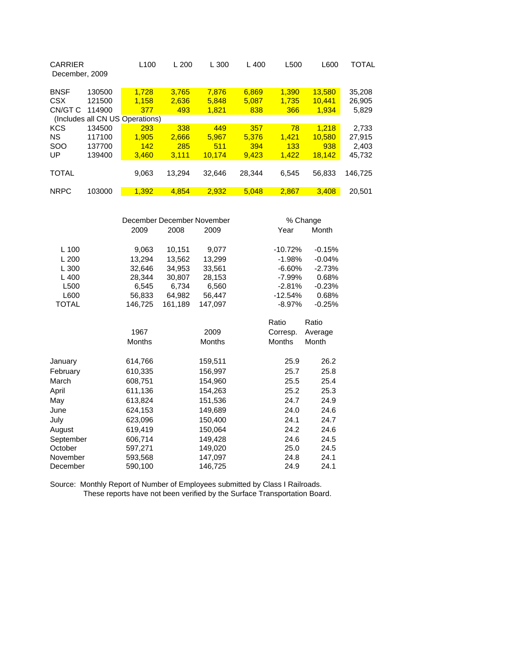| <b>CARRIER</b><br>December, 2009 |        | L <sub>100</sub>                | L200   | L300   | L400   | L500  | L600   | TOTAL   |
|----------------------------------|--------|---------------------------------|--------|--------|--------|-------|--------|---------|
| <b>BNSF</b>                      | 130500 | 1.728                           | 3.765  | 7.876  | 6,869  | 1.390 | 13,580 | 35,208  |
| <b>CSX</b>                       | 121500 | 1.158                           | 2,636  | 5.848  | 5.087  | 1,735 | 10.441 | 26,905  |
| CN/GT C                          | 114900 | 377                             | 493    | 1.821  | 838    | 366   | 1,934  | 5,829   |
|                                  |        | (Includes all CN US Operations) |        |        |        |       |        |         |
| <b>KCS</b>                       | 134500 | 293                             | 338    | 449    | 357    | 78    | 1.218  | 2.733   |
| <b>NS</b>                        | 117100 | 1.905                           | 2.666  | 5.967  | 5.376  | 1.421 | 10.580 | 27.915  |
| <b>SOO</b>                       | 137700 | 142                             | 285    | 511    | 394    | 133   | 938    | 2.403   |
| UP                               | 139400 | 3.460                           | 3.111  | 10.174 | 9.423  | 1.422 | 18,142 | 45,732  |
|                                  |        |                                 |        |        |        |       |        |         |
| <b>TOTAL</b>                     |        | 9,063                           | 13.294 | 32.646 | 28,344 | 6,545 | 56,833 | 146,725 |
|                                  |        |                                 |        |        |        |       |        |         |
| <b>NRPC</b>                      | 103000 | 1.392                           | 4.854  | 2.932  | 5.048  | 2.867 | 3.408  | 20.501  |

|              |               | December December November |               |               | % Change |  |  |
|--------------|---------------|----------------------------|---------------|---------------|----------|--|--|
|              | 2009          | 2008                       | 2009          | Year          | Month    |  |  |
| $L$ 100      | 9,063         | 10,151                     | 9,077         | $-10.72%$     | $-0.15%$ |  |  |
| L200         | 13,294        | 13,562                     | 13,299        | $-1.98%$      | $-0.04%$ |  |  |
| L 300        | 32.646        | 34.953                     | 33,561        | $-6.60%$      | $-2.73%$ |  |  |
| L400         | 28,344        | 30,807                     | 28,153        | -7.99%        | 0.68%    |  |  |
| L500         | 6,545         | 6,734                      | 6,560         | $-2.81%$      | $-0.23%$ |  |  |
| L600         | 56,833        | 64,982<br>56,447           |               | $-12.54%$     | 0.68%    |  |  |
| <b>TOTAL</b> | 146,725       | 161,189                    | 147,097       | $-8.97%$      | $-0.25%$ |  |  |
|              |               |                            |               | Ratio         | Ratio    |  |  |
|              | 1967          |                            | 2009          | Corresp.      | Average  |  |  |
|              | <b>Months</b> |                            | <b>Months</b> | <b>Months</b> | Month    |  |  |
| January      | 614,766       |                            | 159,511       | 25.9          | 26.2     |  |  |
| February     | 610,335       |                            | 156,997       | 25.7          | 25.8     |  |  |
| March        | 608,751       |                            | 154,960       | 25.5          | 25.4     |  |  |
| April        | 611,136       |                            | 154,263       | 25.2          | 25.3     |  |  |
| May          | 613,824       |                            | 151,536       | 24.7          | 24.9     |  |  |
| June         | 624,153       |                            | 149,689       | 24.0          | 24.6     |  |  |
| July         | 623,096       |                            | 150,400       | 24.1          | 24.7     |  |  |
| August       | 619,419       |                            | 150,064       | 24.2          | 24.6     |  |  |
| September    | 606,714       |                            | 149,428       | 24.6          | 24.5     |  |  |
| October      | 597,271       |                            | 149,020       | 25.0          | 24.5     |  |  |
| November     | 593,568       |                            | 147,097       | 24.8          | 24.1     |  |  |
| December     | 590,100       |                            | 146,725       | 24.9          | 24.1     |  |  |

Source: Monthly Report of Number of Employees submitted by Class I Railroads. These reports have not been verified by the Surface Transportation Board.